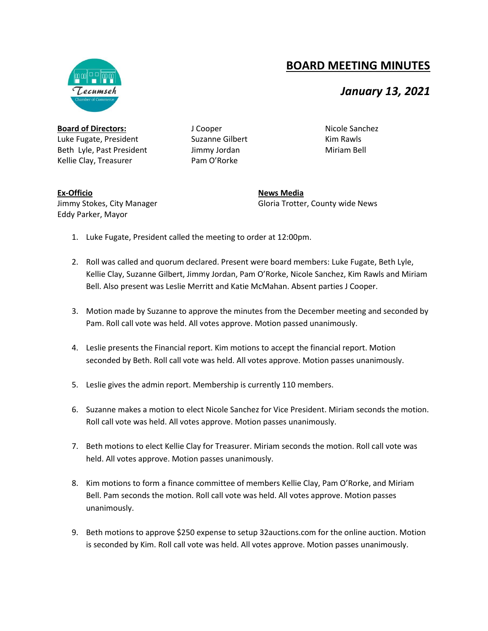## **BOARD MEETING MINUTES**

## *January 13, 2021*

**Board of Directors:** Luke Fugate, President Beth Lyle, Past President Kellie Clay, Treasurer

J Cooper Suzanne Gilbert Jimmy Jordan Pam O'Rorke

Kim Rawls Miriam Bell

Nicole Sanchez

## **Ex-Officio** Jimmy Stokes, City Manager Eddy Parker, Mayor

**News Media** Gloria Trotter, County wide News

- 1. Luke Fugate, President called the meeting to order at 12:00pm.
- 2. Roll was called and quorum declared. Present were board members: Luke Fugate, Beth Lyle, Kellie Clay, Suzanne Gilbert, Jimmy Jordan, Pam O'Rorke, Nicole Sanchez, Kim Rawls and Miriam Bell. Also present was Leslie Merritt and Katie McMahan. Absent parties J Cooper.
- 3. Motion made by Suzanne to approve the minutes from the December meeting and seconded by Pam. Roll call vote was held. All votes approve. Motion passed unanimously.
- 4. Leslie presents the Financial report. Kim motions to accept the financial report. Motion seconded by Beth. Roll call vote was held. All votes approve. Motion passes unanimously.
- 5. Leslie gives the admin report. Membership is currently 110 members.
- 6. Suzanne makes a motion to elect Nicole Sanchez for Vice President. Miriam seconds the motion. Roll call vote was held. All votes approve. Motion passes unanimously.
- 7. Beth motions to elect Kellie Clay for Treasurer. Miriam seconds the motion. Roll call vote was held. All votes approve. Motion passes unanimously.
- 8. Kim motions to form a finance committee of members Kellie Clay, Pam O'Rorke, and Miriam Bell. Pam seconds the motion. Roll call vote was held. All votes approve. Motion passes unanimously.
- 9. Beth motions to approve \$250 expense to setup 32auctions.com for the online auction. Motion is seconded by Kim. Roll call vote was held. All votes approve. Motion passes unanimously.